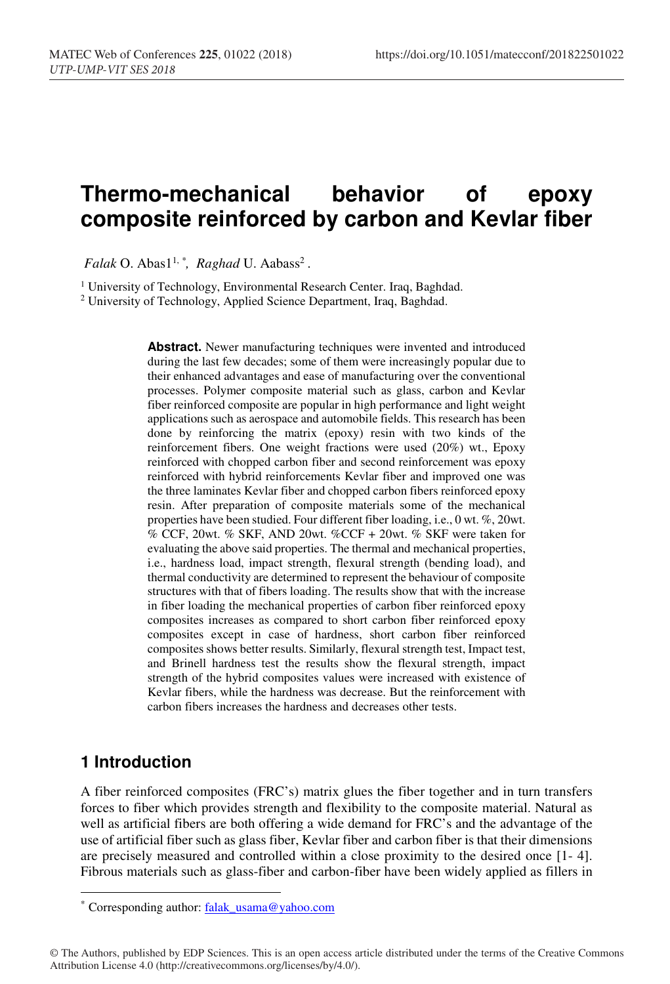# **Thermo-mechanical behavior of epoxy composite reinforced by carbon and Kevlar fiber**

*Falak* O. Abas1<sup>1,\*</sup>, *Raghad* U. Aabass<sup>2</sup>.

<sup>1</sup> University of Technology, Environmental Research Center. Iraq, Baghdad. <sup>2</sup> University of Technology, Applied Science Department, Iraq, Baghdad.

**Abstract.** Newer manufacturing techniques were invented and introduced during the last few decades; some of them were increasingly popular due to their enhanced advantages and ease of manufacturing over the conventional processes. Polymer composite material such as glass, carbon and Kevlar fiber reinforced composite are popular in high performance and light weight applications such as aerospace and automobile fields. This research has been done by reinforcing the matrix (epoxy) resin with two kinds of the reinforcement fibers. One weight fractions were used (20%) wt., Epoxy reinforced with chopped carbon fiber and second reinforcement was epoxy reinforced with hybrid reinforcements Kevlar fiber and improved one was the three laminates Kevlar fiber and chopped carbon fibers reinforced epoxy resin. After preparation of composite materials some of the mechanical properties have been studied. Four different fiber loading, i.e., 0 wt. %, 20wt. % CCF, 20wt. % SKF, AND 20wt. %CCF + 20wt. % SKF were taken for evaluating the above said properties. The thermal and mechanical properties, i.e., hardness load, impact strength, flexural strength (bending load), and thermal conductivity are determined to represent the behaviour of composite structures with that of fibers loading. The results show that with the increase in fiber loading the mechanical properties of carbon fiber reinforced epoxy composites increases as compared to short carbon fiber reinforced epoxy composites except in case of hardness, short carbon fiber reinforced composites shows better results. Similarly, flexural strength test, Impact test, and Brinell hardness test the results show the flexural strength, impact strength of the hybrid composites values were increased with existence of Kevlar fibers, while the hardness was decrease. But the reinforcement with carbon fibers increases the hardness and decreases other tests.

# **1 Introduction**

A fiber reinforced composites (FRC's) matrix glues the fiber together and in turn transfers forces to fiber which provides strength and flexibility to the composite material. Natural as well as artificial fibers are both offering a wide demand for FRC's and the advantage of the use of artificial fiber such as glass fiber, Kevlar fiber and carbon fiber is that their dimensions are precisely measured and controlled within a close proximity to the desired once [1- 4]. Fibrous materials such as glass-fiber and carbon-fiber have been widely applied as fillers in

© The Authors, published by EDP Sciences. This is an open access article distributed under the terms of the Creative Commons Attribution License 4.0 (http://creativecommons.org/licenses/by/4.0/).

<sup>\*</sup> Corresponding author: falak\_usama@yahoo.com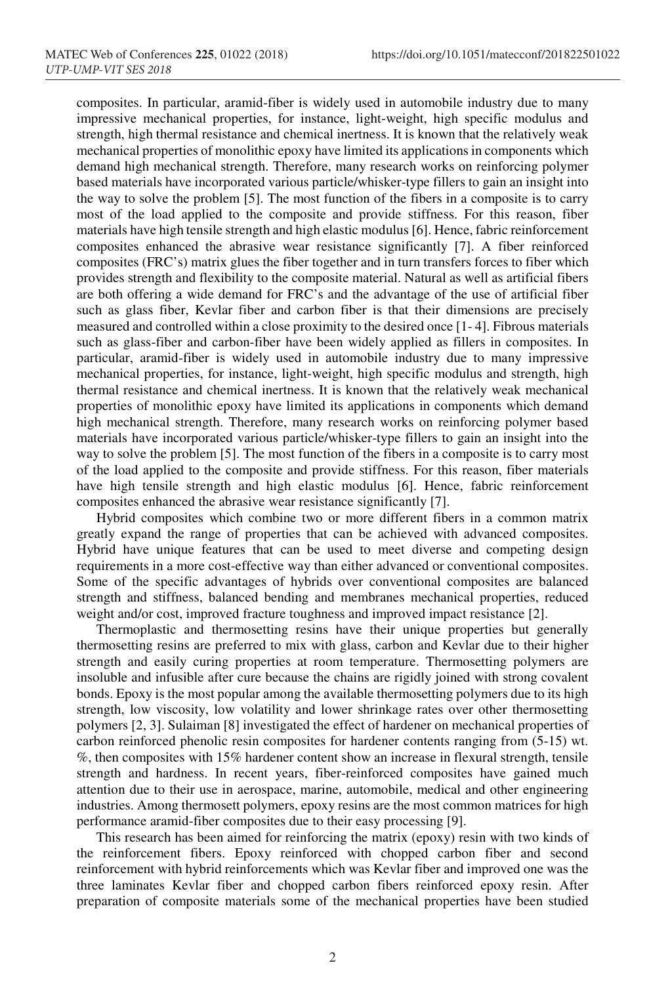composites. In particular, aramid-fiber is widely used in automobile industry due to many impressive mechanical properties, for instance, light-weight, high specific modulus and strength, high thermal resistance and chemical inertness. It is known that the relatively weak mechanical properties of monolithic epoxy have limited its applications in components which demand high mechanical strength. Therefore, many research works on reinforcing polymer based materials have incorporated various particle/whisker-type fillers to gain an insight into the way to solve the problem [5]. The most function of the fibers in a composite is to carry most of the load applied to the composite and provide stiffness. For this reason, fiber materials have high tensile strength and high elastic modulus [6]. Hence, fabric reinforcement composites enhanced the abrasive wear resistance significantly [7]. A fiber reinforced composites (FRC's) matrix glues the fiber together and in turn transfers forces to fiber which provides strength and flexibility to the composite material. Natural as well as artificial fibers are both offering a wide demand for FRC's and the advantage of the use of artificial fiber such as glass fiber, Kevlar fiber and carbon fiber is that their dimensions are precisely measured and controlled within a close proximity to the desired once [1- 4]. Fibrous materials such as glass-fiber and carbon-fiber have been widely applied as fillers in composites. In particular, aramid-fiber is widely used in automobile industry due to many impressive mechanical properties, for instance, light-weight, high specific modulus and strength, high thermal resistance and chemical inertness. It is known that the relatively weak mechanical properties of monolithic epoxy have limited its applications in components which demand high mechanical strength. Therefore, many research works on reinforcing polymer based materials have incorporated various particle/whisker-type fillers to gain an insight into the way to solve the problem [5]. The most function of the fibers in a composite is to carry most of the load applied to the composite and provide stiffness. For this reason, fiber materials have high tensile strength and high elastic modulus [6]. Hence, fabric reinforcement composites enhanced the abrasive wear resistance significantly [7].

Hybrid composites which combine two or more different fibers in a common matrix greatly expand the range of properties that can be achieved with advanced composites. Hybrid have unique features that can be used to meet diverse and competing design requirements in a more cost-effective way than either advanced or conventional composites. Some of the specific advantages of hybrids over conventional composites are balanced strength and stiffness, balanced bending and membranes mechanical properties, reduced weight and/or cost, improved fracture toughness and improved impact resistance [2].

Thermoplastic and thermosetting resins have their unique properties but generally thermosetting resins are preferred to mix with glass, carbon and Kevlar due to their higher strength and easily curing properties at room temperature. Thermosetting polymers are insoluble and infusible after cure because the chains are rigidly joined with strong covalent bonds. Epoxy is the most popular among the available thermosetting polymers due to its high strength, low viscosity, low volatility and lower shrinkage rates over other thermosetting polymers [2, 3]. Sulaiman [8] investigated the effect of hardener on mechanical properties of carbon reinforced phenolic resin composites for hardener contents ranging from (5-15) wt. %, then composites with 15% hardener content show an increase in flexural strength, tensile strength and hardness. In recent years, fiber-reinforced composites have gained much attention due to their use in aerospace, marine, automobile, medical and other engineering industries. Among thermosett polymers, epoxy resins are the most common matrices for high performance aramid-fiber composites due to their easy processing [9].

This research has been aimed for reinforcing the matrix (epoxy) resin with two kinds of the reinforcement fibers. Epoxy reinforced with chopped carbon fiber and second reinforcement with hybrid reinforcements which was Kevlar fiber and improved one was the three laminates Kevlar fiber and chopped carbon fibers reinforced epoxy resin. After preparation of composite materials some of the mechanical properties have been studied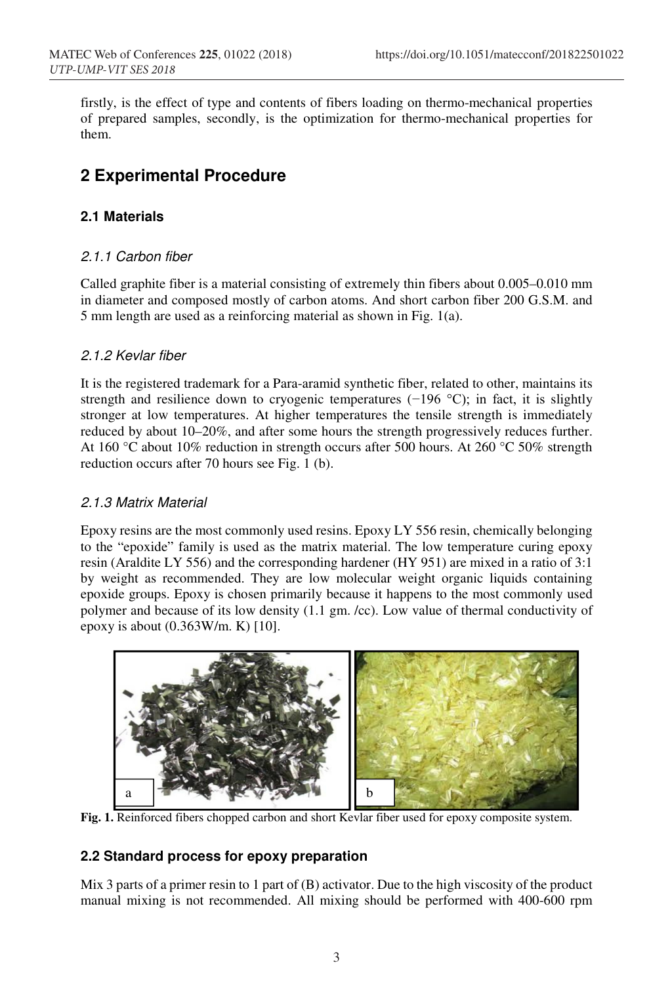firstly, is the effect of type and contents of fibers loading on thermo-mechanical properties of prepared samples, secondly, is the optimization for thermo-mechanical properties for them.

# **2 Experimental Procedure**

# **2.1 Materials**

## 2.1.1 Carbon fiber

Called graphite fiber is a material consisting of extremely thin fibers about 0.005–0.010 mm in diameter and composed mostly of carbon atoms. And short carbon fiber 200 G.S.M. and 5 mm length are used as a reinforcing material as shown in Fig. 1(a).

### 2.1.2 Kevlar fiber

It is the registered trademark for a Para-aramid synthetic fiber, related to other, maintains its strength and resilience down to cryogenic temperatures (−196 °C); in fact, it is slightly stronger at low temperatures. At higher temperatures the tensile strength is immediately reduced by about 10–20%, and after some hours the strength progressively reduces further. At 160 °C about 10% reduction in strength occurs after 500 hours. At 260 °C 50% strength reduction occurs after 70 hours see Fig. 1 (b).

### 2.1.3 Matrix Material

Epoxy resins are the most commonly used resins. Epoxy LY 556 resin, chemically belonging to the "epoxide" family is used as the matrix material. The low temperature curing epoxy resin (Araldite LY 556) and the corresponding hardener (HY 951) are mixed in a ratio of 3:1 by weight as recommended. They are low molecular weight organic liquids containing epoxide groups. Epoxy is chosen primarily because it happens to the most commonly used polymer and because of its low density (1.1 gm. /cc). Low value of thermal conductivity of epoxy is about (0.363W/m. K) [10].



**Fig. 1.** Reinforced fibers chopped carbon and short Kevlar fiber used for epoxy composite system.

### **2.2 Standard process for epoxy preparation**

Mix 3 parts of a primer resin to 1 part of (B) activator. Due to the high viscosity of the product manual mixing is not recommended. All mixing should be performed with 400-600 rpm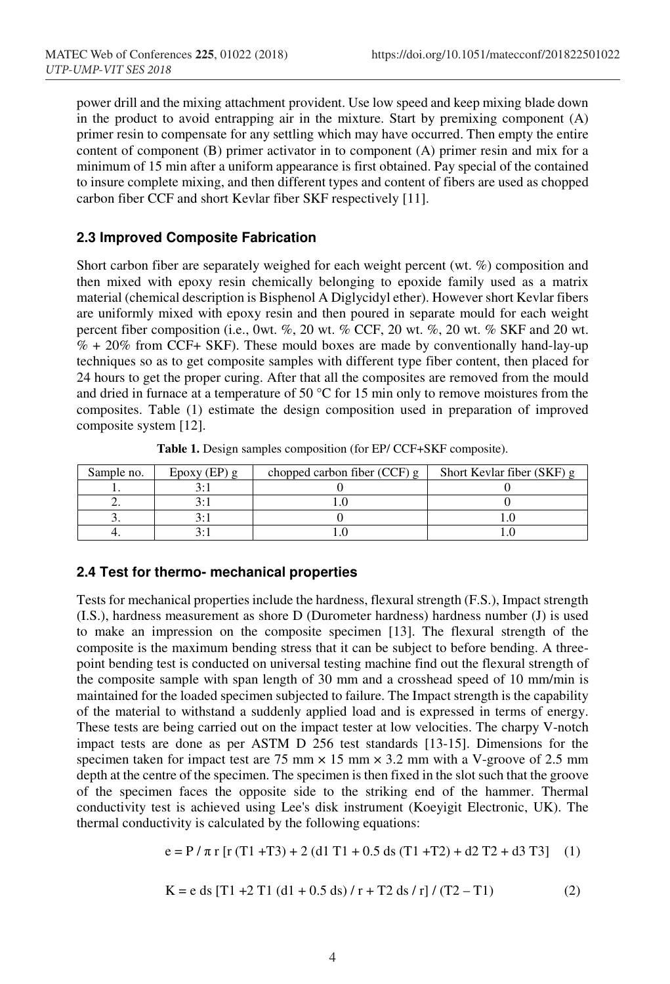power drill and the mixing attachment provident. Use low speed and keep mixing blade down in the product to avoid entrapping air in the mixture. Start by premixing component  $(A)$ primer resin to compensate for any settling which may have occurred. Then empty the entire content of component (B) primer activator in to component (A) primer resin and mix for a minimum of 15 min after a uniform appearance is first obtained. Pay special of the contained to insure complete mixing, and then different types and content of fibers are used as chopped carbon fiber CCF and short Kevlar fiber SKF respectively [11].

### **2.3 Improved Composite Fabrication**

Short carbon fiber are separately weighed for each weight percent (wt. %) composition and then mixed with epoxy resin chemically belonging to epoxide family used as a matrix material (chemical description is Bisphenol A Diglycidyl ether). However short Kevlar fibers are uniformly mixed with epoxy resin and then poured in separate mould for each weight percent fiber composition (i.e., 0wt. %, 20 wt. % CCF, 20 wt. %, 20 wt. % SKF and 20 wt.  $% + 20\%$  from CCF+ SKF). These mould boxes are made by conventionally hand-lay-up techniques so as to get composite samples with different type fiber content, then placed for 24 hours to get the proper curing. After that all the composites are removed from the mould and dried in furnace at a temperature of 50 °C for 15 min only to remove moistures from the composites. Table (1) estimate the design composition used in preparation of improved composite system [12].

| Sample no. | $Epoxy$ (EP) g | chopped carbon fiber (CCF) g | Short Kevlar fiber (SKF) g |
|------------|----------------|------------------------------|----------------------------|
|            |                |                              |                            |
|            |                |                              |                            |
|            |                |                              |                            |
|            |                |                              |                            |

**Table 1.** Design samples composition (for EP/ CCF+SKF composite).

# **2.4 Test for thermo- mechanical properties**

Tests for mechanical properties include the hardness, flexural strength (F.S.), Impact strength (I.S.), hardness measurement as shore D (Durometer hardness) hardness number (J) is used to make an impression on the composite specimen [13]. The flexural strength of the composite is the maximum bending stress that it can be subject to before bending. A threepoint bending test is conducted on universal testing machine find out the flexural strength of the composite sample with span length of 30 mm and a crosshead speed of 10 mm/min is maintained for the loaded specimen subjected to failure. The Impact strength is the capability of the material to withstand a suddenly applied load and is expressed in terms of energy. These tests are being carried out on the impact tester at low velocities. The charpy V-notch impact tests are done as per ASTM D 256 test standards [13-15]. Dimensions for the specimen taken for impact test are 75 mm  $\times$  15 mm  $\times$  3.2 mm with a V-groove of 2.5 mm depth at the centre of the specimen. The specimen is then fixed in the slot such that the groove of the specimen faces the opposite side to the striking end of the hammer. Thermal conductivity test is achieved using Lee's disk instrument (Koeyigit Electronic, UK). The thermal conductivity is calculated by the following equations:

$$
e = P / \pi r [r (T1 + T3) + 2 (d1 T1 + 0.5 ds (T1 + T2) + d2 T2 + d3 T3]
$$
 (1)

$$
K = e ds [T1 + 2 T1 (d1 + 0.5 ds) / r + T2 ds / r] / (T2 - T1)
$$
 (2)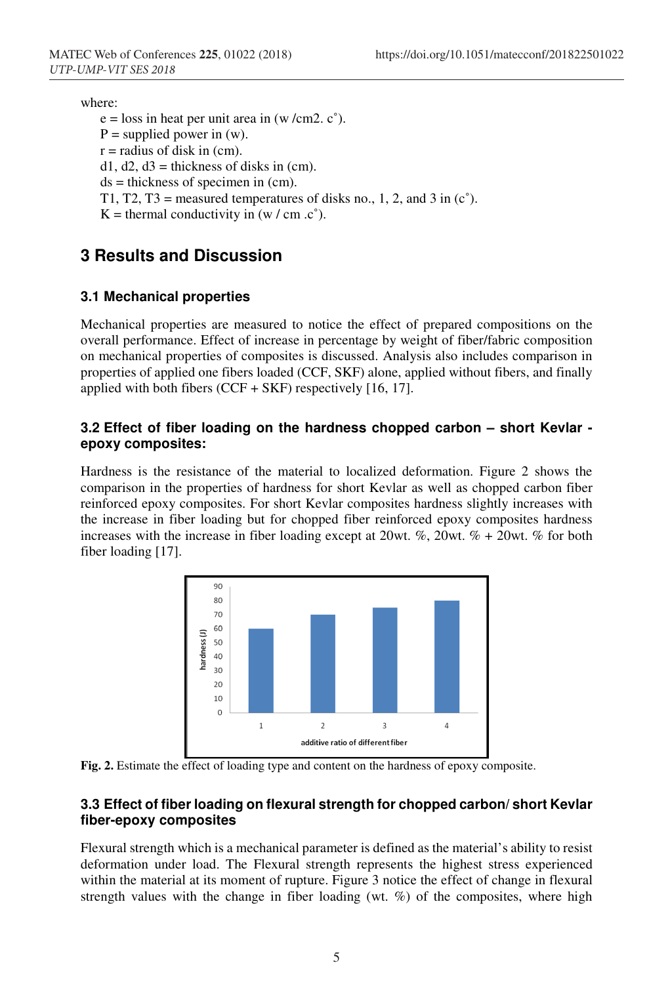where:

 $e =$ loss in heat per unit area in (w/cm2. c°).  $P =$  supplied power in (w).  $r =$  radius of disk in (cm). d1,  $d2$ ,  $d3$  = thickness of disks in (cm).  $ds =$  thickness of specimen in (cm). T1, T2, T3 = measured temperatures of disks no., 1, 2, and 3 in  $(c^{\circ})$ .  $K =$  thermal conductivity in (w / cm .c<sup>o</sup>).

# **3 Results and Discussion**

## **3.1 Mechanical properties**

Mechanical properties are measured to notice the effect of prepared compositions on the overall performance. Effect of increase in percentage by weight of fiber/fabric composition on mechanical properties of composites is discussed. Analysis also includes comparison in properties of applied one fibers loaded (CCF, SKF) alone, applied without fibers, and finally applied with both fibers (CCF + SKF) respectively [16, 17].

### **3.2 Effect of fiber loading on the hardness chopped carbon – short Kevlar epoxy composites:**

Hardness is the resistance of the material to localized deformation. Figure 2 shows the comparison in the properties of hardness for short Kevlar as well as chopped carbon fiber reinforced epoxy composites. For short Kevlar composites hardness slightly increases with the increase in fiber loading but for chopped fiber reinforced epoxy composites hardness increases with the increase in fiber loading except at 20wt.  $\%$ , 20wt.  $\%$  + 20wt.  $\%$  for both fiber loading [17].



**Fig. 2.** Estimate the effect of loading type and content on the hardness of epoxy composite.

### **3.3 Effect of fiber loading on flexural strength for chopped carbon/ short Kevlar fiber-epoxy composites**

Flexural strength which is a mechanical parameter is defined as the material's ability to resist deformation under load. The Flexural strength represents the highest stress experienced within the material at its moment of rupture. Figure 3 notice the effect of change in flexural strength values with the change in fiber loading (wt. %) of the composites, where high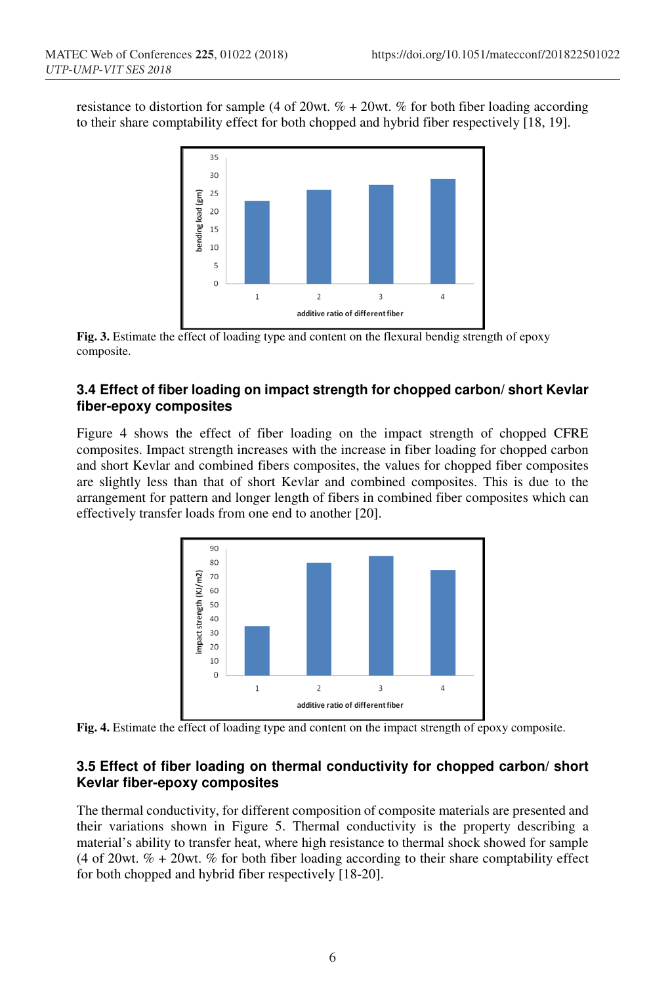resistance to distortion for sample (4 of 20wt.  $\%$  + 20wt.  $\%$  for both fiber loading according to their share comptability effect for both chopped and hybrid fiber respectively [18, 19].



**Fig. 3.** Estimate the effect of loading type and content on the flexural bendig strength of epoxy composite.

### **3.4 Effect of fiber loading on impact strength for chopped carbon/ short Kevlar fiber-epoxy composites**

Figure 4 shows the effect of fiber loading on the impact strength of chopped CFRE composites. Impact strength increases with the increase in fiber loading for chopped carbon and short Kevlar and combined fibers composites, the values for chopped fiber composites are slightly less than that of short Kevlar and combined composites. This is due to the arrangement for pattern and longer length of fibers in combined fiber composites which can effectively transfer loads from one end to another [20].



**Fig. 4.** Estimate the effect of loading type and content on the impact strength of epoxy composite.

### **3.5 Effect of fiber loading on thermal conductivity for chopped carbon/ short Kevlar fiber-epoxy composites**

The thermal conductivity, for different composition of composite materials are presented and their variations shown in Figure 5. Thermal conductivity is the property describing a material's ability to transfer heat, where high resistance to thermal shock showed for sample (4 of 20wt.  $\%$  + 20wt.  $\%$  for both fiber loading according to their share comptability effect for both chopped and hybrid fiber respectively [18-20].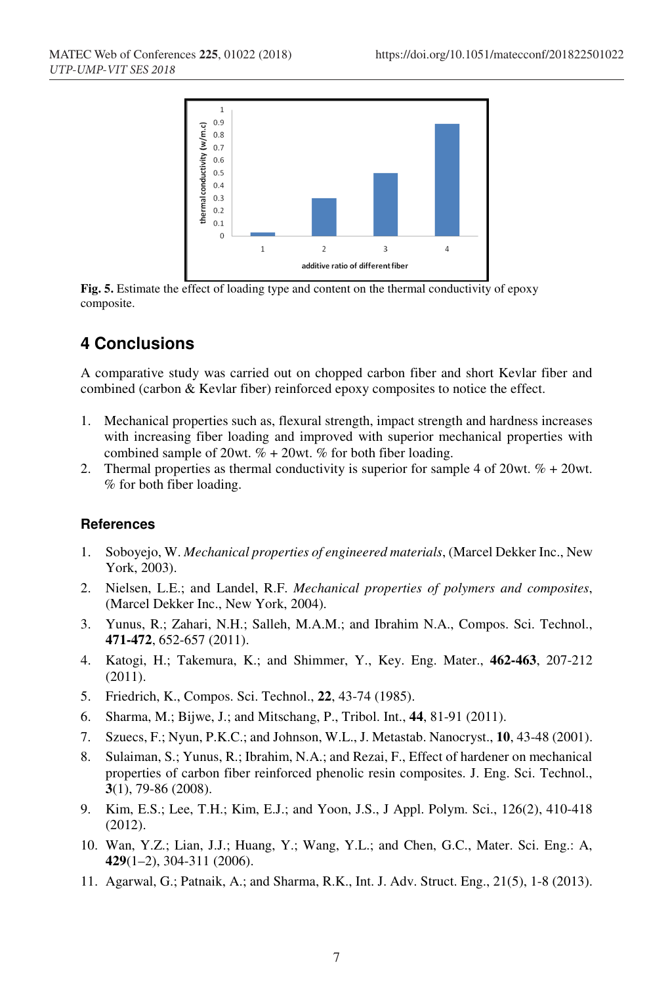

**Fig. 5.** Estimate the effect of loading type and content on the thermal conductivity of epoxy composite.

# **4 Conclusions**

A comparative study was carried out on chopped carbon fiber and short Kevlar fiber and combined (carbon & Kevlar fiber) reinforced epoxy composites to notice the effect.

- 1. Mechanical properties such as, flexural strength, impact strength and hardness increases with increasing fiber loading and improved with superior mechanical properties with combined sample of 20wt.  $% +20$ wt.  $%$  for both fiber loading.
- 2. Thermal properties as thermal conductivity is superior for sample 4 of 20wt.  $% + 20$ wt. % for both fiber loading.

# **References**

- 1. Soboyejo, W. *Mechanical properties of engineered materials*, (Marcel Dekker Inc., New York, 2003).
- 2. Nielsen, L.E.; and Landel, R.F. *Mechanical properties of polymers and composites*, (Marcel Dekker Inc., New York, 2004).
- 3. Yunus, R.; Zahari, N.H.; Salleh, M.A.M.; and Ibrahim N.A., Compos. Sci. Technol., **471-472**, 652-657 (2011).
- 4. Katogi, H.; Takemura, K.; and Shimmer, Y., Key. Eng. Mater., **462-463**, 207-212 (2011).
- 5. Friedrich, K., Compos. Sci. Technol., **22**, 43-74 (1985).
- 6. Sharma, M.; Bijwe, J.; and Mitschang, P., Tribol. Int., **44**, 81-91 (2011).
- 7. Szuecs, F.; Nyun, P.K.C.; and Johnson, W.L., J. Metastab. Nanocryst., **10**, 43-48 (2001).
- 8. Sulaiman, S.; Yunus, R.; Ibrahim, N.A.; and Rezai, F., Effect of hardener on mechanical properties of carbon fiber reinforced phenolic resin composites. J. Eng. Sci. Technol., **3**(1), 79-86 (2008).
- 9. Kim, E.S.; Lee, T.H.; Kim, E.J.; and Yoon, J.S., J Appl. Polym. Sci., 126(2), 410-418 (2012).
- 10. Wan, Y.Z.; Lian, J.J.; Huang, Y.; Wang, Y.L.; and Chen, G.C., Mater. Sci. Eng.: A, **429**(1–2), 304-311 (2006).
- 11. Agarwal, G.; Patnaik, A.; and Sharma, R.K., Int. J. Adv. Struct. Eng., 21(5), 1-8 (2013).